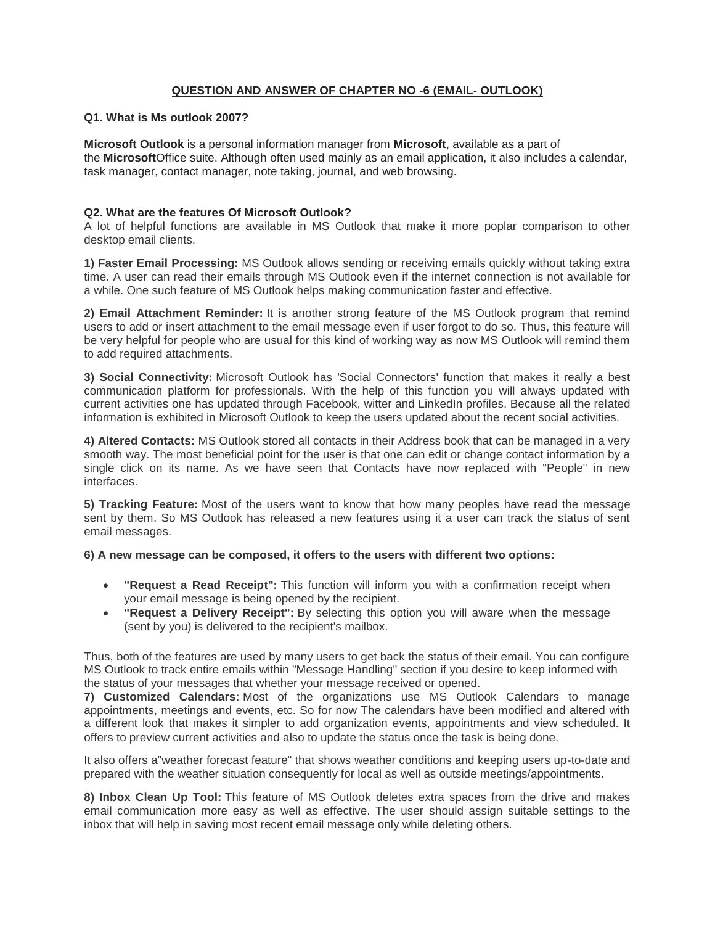### **QUESTION AND ANSWER OF CHAPTER NO -6 (EMAIL- OUTLOOK)**

#### **Q1. What is Ms outlook 2007?**

**Microsoft Outlook** is a personal information manager from **Microsoft**, available as a part of the **Microsoft**Office suite. Although often used mainly as an email application, it also includes a calendar, task manager, contact manager, note taking, journal, and web browsing.

#### **Q2. What are the features Of Microsoft Outlook?**

A lot of helpful functions are available in MS Outlook that make it more poplar comparison to other desktop email clients.

**1) Faster Email Processing:** MS Outlook allows sending or receiving emails quickly without taking extra time. A user can read their emails through MS Outlook even if the internet connection is not available for a while. One such feature of MS Outlook helps making communication faster and effective.

**2) Email Attachment Reminder:** It is another strong feature of the MS Outlook program that remind users to add or insert attachment to the email message even if user forgot to do so. Thus, this feature will be very helpful for people who are usual for this kind of working way as now MS Outlook will remind them to add required attachments.

**3) Social Connectivity:** Microsoft Outlook has 'Social Connectors' function that makes it really a best communication platform for professionals. With the help of this function you will always updated with current activities one has updated through Facebook, witter and LinkedIn profiles. Because all the related information is exhibited in Microsoft Outlook to keep the users updated about the recent social activities.

**4) Altered Contacts:** MS Outlook stored all contacts in their Address book that can be managed in a very smooth way. The most beneficial point for the user is that one can edit or change contact information by a single click on its name. As we have seen that Contacts have now replaced with "People" in new interfaces.

**5) Tracking Feature:** Most of the users want to know that how many peoples have read the message sent by them. So MS Outlook has released a new features using it a user can track the status of sent email messages.

#### **6) A new message can be composed, it offers to the users with different two options:**

- **"Request a Read Receipt":** This function will inform you with a confirmation receipt when your email message is being opened by the recipient.
- **"Request a Delivery Receipt":** By selecting this option you will aware when the message (sent by you) is delivered to the recipient's mailbox.

Thus, both of the features are used by many users to get back the status of their email. You can configure MS Outlook to track entire emails within "Message Handling" section if you desire to keep informed with the status of your messages that whether your message received or opened.

**7) Customized Calendars:** Most of the organizations use MS Outlook Calendars to manage appointments, meetings and events, etc. So for now The calendars have been modified and altered with a different look that makes it simpler to add organization events, appointments and view scheduled. It offers to preview current activities and also to update the status once the task is being done.

It also offers a"weather forecast feature" that shows weather conditions and keeping users up-to-date and prepared with the weather situation consequently for local as well as outside meetings/appointments.

**8) Inbox Clean Up Tool:** This feature of MS Outlook deletes extra spaces from the drive and makes email communication more easy as well as effective. The user should assign suitable settings to the inbox that will help in saving most recent email message only while deleting others.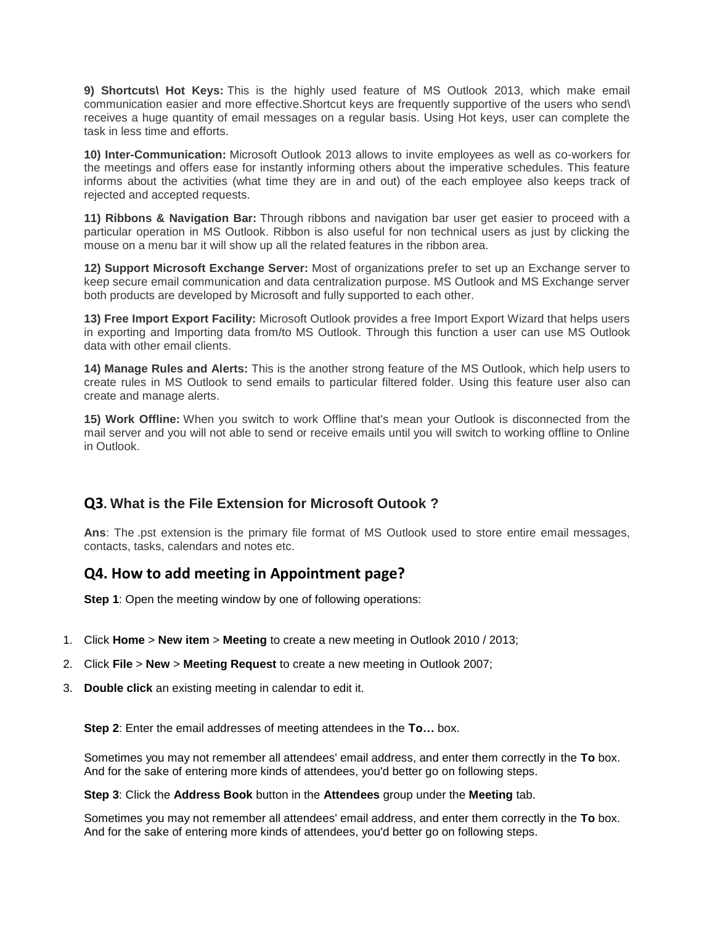**9) Shortcuts\ Hot Keys:** This is the highly used feature of MS Outlook 2013, which make email communication easier and more effective.Shortcut keys are frequently supportive of the users who send\ receives a huge quantity of email messages on a regular basis. Using Hot keys, user can complete the task in less time and efforts.

**10) Inter-Communication:** Microsoft Outlook 2013 allows to invite employees as well as co-workers for the meetings and offers ease for instantly informing others about the imperative schedules. This feature informs about the activities (what time they are in and out) of the each employee also keeps track of rejected and accepted requests.

**11) Ribbons & Navigation Bar:** Through ribbons and navigation bar user get easier to proceed with a particular operation in MS Outlook. Ribbon is also useful for non technical users as just by clicking the mouse on a menu bar it will show up all the related features in the ribbon area.

**12) Support Microsoft Exchange Server:** Most of organizations prefer to set up an Exchange server to keep secure email communication and data centralization purpose. MS Outlook and MS Exchange server both products are developed by Microsoft and fully supported to each other.

**13) Free Import Export Facility:** Microsoft Outlook provides a free Import Export Wizard that helps users in exporting and Importing data from/to MS Outlook. Through this function a user can use MS Outlook data with other email clients.

**14) Manage Rules and Alerts:** This is the another strong feature of the MS Outlook, which help users to create rules in MS Outlook to send emails to particular filtered folder. Using this feature user also can create and manage alerts.

**15) Work Offline:** When you switch to work Offline that's mean your Outlook is disconnected from the mail server and you will not able to send or receive emails until you will switch to working offline to Online in Outlook.

# **Q3. What is the File Extension for Microsoft Outook ?**

**Ans**: The .pst extension is the primary file format of MS Outlook used to store entire email messages, contacts, tasks, calendars and notes etc.

# **Q4. How to add meeting in Appointment page?**

**Step 1:** Open the meeting window by one of following operations:

- 1. Click **Home** > **New item** > **Meeting** to create a new meeting in Outlook 2010 / 2013;
- 2. Click **File** > **New** > **Meeting Request** to create a new meeting in Outlook 2007;
- 3. **Double click** an existing meeting in calendar to edit it.

**Step 2**: Enter the email addresses of meeting attendees in the **To…** box.

Sometimes you may not remember all attendees' email address, and enter them correctly in the **To** box. And for the sake of entering more kinds of attendees, you'd better go on following steps.

**Step 3**: Click the **Address Book** button in the **Attendees** group under the **Meeting** tab.

Sometimes you may not remember all attendees' email address, and enter them correctly in the **To** box. And for the sake of entering more kinds of attendees, you'd better go on following steps.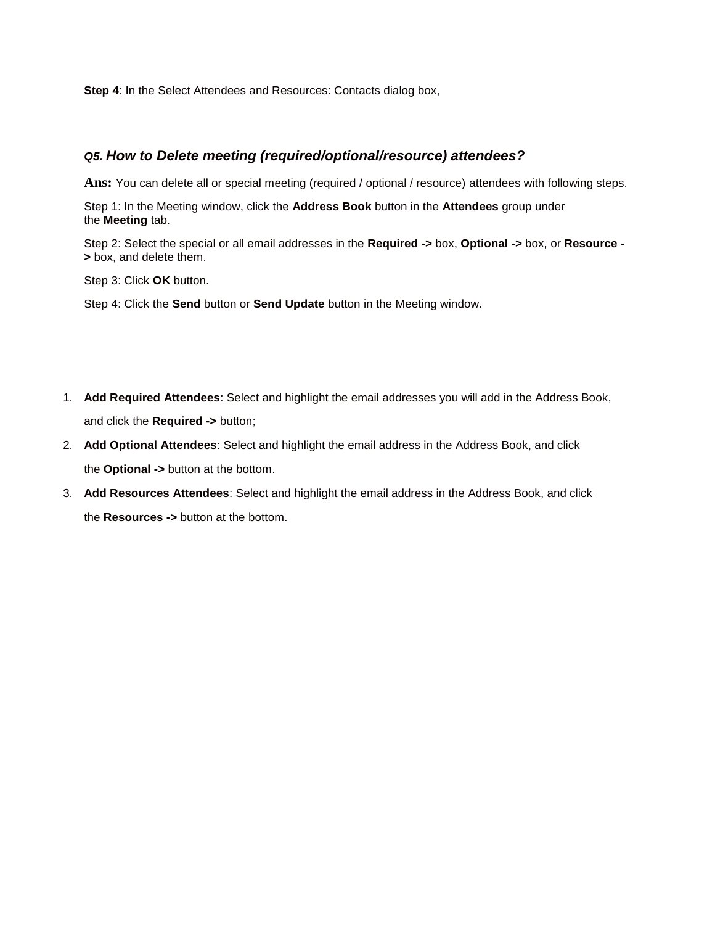**Step 4:** In the Select Attendees and Resources: Contacts dialog box,

# *Q5. How to Delete meeting (required/optional/resource) attendees?*

**Ans:** You can delete all or special meeting (required / optional / resource) attendees with following steps.

Step 1: In the Meeting window, click the **Address Book** button in the **Attendees** group under the **Meeting** tab.

Step 2: Select the special or all email addresses in the **Required ->** box, **Optional ->** box, or **Resource - >** box, and delete them.

Step 3: Click **OK** button.

Step 4: Click the **Send** button or **Send Update** button in the Meeting window.

- 1. **Add Required Attendees**: Select and highlight the email addresses you will add in the Address Book, and click the **Required ->** button;
- 2. **Add Optional Attendees**: Select and highlight the email address in the Address Book, and click the **Optional ->** button at the bottom.
- 3. **Add Resources Attendees**: Select and highlight the email address in the Address Book, and click the **Resources ->** button at the bottom.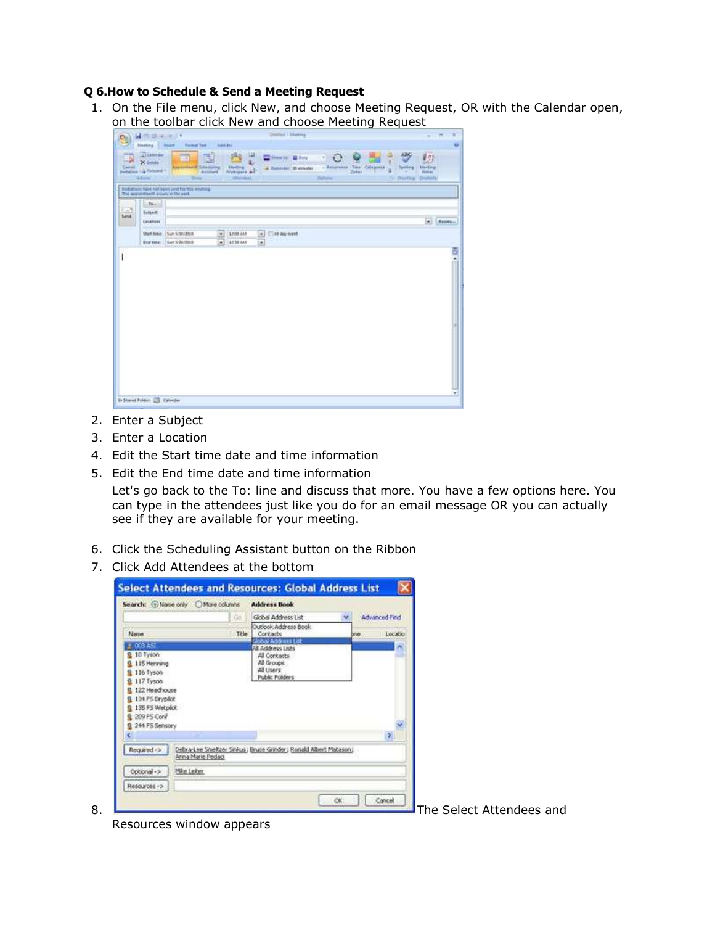### **Q 6.How to Schedule & Send a Meeting Request**

1. On the File menu, click New, and choose Meeting Request, OR with the Calendar open, on the toolbar click New and choose Meeting Request

| <b>Marting</b>                                                                                 |                                                    |                                                                | <b>Child Literating</b>                       |                                                                 |                                                                                           | ×<br>$-100 - 100$ |
|------------------------------------------------------------------------------------------------|----------------------------------------------------|----------------------------------------------------------------|-----------------------------------------------|-----------------------------------------------------------------|-------------------------------------------------------------------------------------------|-------------------|
|                                                                                                | <b>Drist®</b><br><b>Formal Text</b>                | Add FL                                                         |                                               |                                                                 |                                                                                           |                   |
| <b>Gitatenas</b><br>-<br>X Deleta<br>Zámel<br><b>Statution 1.3 Parkers 11</b><br><b>Admits</b> | m<br><b><i>AND SAMING</i></b><br><b>Delay</b>      | ш<br>Meding<br>Wirtigals al-<br><b>Buildard</b><br>Afframilyni | <b>COMMAND BLOW</b><br>a Revenire, 30 scepter | <b>Sies Categories</b><br>- Religions<br>Zirker<br>٠<br>Gettern | ABO<br>$\sigma$<br>Milling<br><b>Specified</b><br><b>Biller</b><br>(b) (Profing Condials) |                   |
| This approvement proven in the part.                                                           | Biothstreen, Have Hot been used for this steating. |                                                                |                                               |                                                                 |                                                                                           |                   |
| <b>But</b>                                                                                     |                                                    |                                                                |                                               |                                                                 |                                                                                           |                   |
| $\frac{1}{2}$<br><b>Setted:</b>                                                                |                                                    |                                                                |                                               |                                                                 |                                                                                           |                   |
| <b>Laddform</b>                                                                                |                                                    |                                                                |                                               |                                                                 | ü                                                                                         | Report            |
|                                                                                                | Shart date: 1 Son 5/50/2018                        | 1208 444                                                       | All day event.<br>۰                           |                                                                 |                                                                                           |                   |
|                                                                                                | End time:   Sun 5/30/2018                          | $\frac{1}{2}$<br>12 lit and                                    | $\overline{\phantom{0}}$                      |                                                                 |                                                                                           |                   |
|                                                                                                |                                                    |                                                                |                                               |                                                                 |                                                                                           |                   |
|                                                                                                |                                                    |                                                                |                                               |                                                                 |                                                                                           |                   |
|                                                                                                |                                                    |                                                                |                                               |                                                                 |                                                                                           |                   |

- 2. Enter a Subject
- 3. Enter a Location
- 4. Edit the Start time date and time information
- 5. Edit the End time date and time information

Let's go back to the To: line and discuss that more. You have a few options here. You can type in the attendees just like you do for an email message OR you can actually see if they are available for your meeting.

- 6. Click the Scheduling Assistant button on the Ribbon
- 7. Click Add Attendees at the bottom

|                                                                                                                                              | Search: @Name only @More columns                                                      | <b>Address Book</b>                                       |      |               |  |  |
|----------------------------------------------------------------------------------------------------------------------------------------------|---------------------------------------------------------------------------------------|-----------------------------------------------------------|------|---------------|--|--|
|                                                                                                                                              | Gai                                                                                   | Global Address List                                       |      | Advanced Find |  |  |
|                                                                                                                                              |                                                                                       | Outlook Address Book                                      |      |               |  |  |
| Name.                                                                                                                                        | Title                                                                                 | Contacts<br>Global Address List                           | bne. | Locatio       |  |  |
| $9.10$ Tyson<br>115 Henning<br>116 Tyson<br>117 Tyson<br>122 Headhouse<br>134 PS Dryplot<br>135 FS Wetpick<br>209 PS Corif<br>244 FS Sensory |                                                                                       | All Contacts<br>All Groups<br>All Users<br>Public Folders |      | ×<br>圳        |  |  |
| Required ->                                                                                                                                  | Debra-Lee Smeltzer Sinkus: Bruce Grinder; Ronald Albert Matason:<br>Arna Marie Pedagi |                                                           |      |               |  |  |
| Optional ->                                                                                                                                  | Mike Leiter                                                                           |                                                           |      |               |  |  |
|                                                                                                                                              |                                                                                       |                                                           |      |               |  |  |

Resources window appears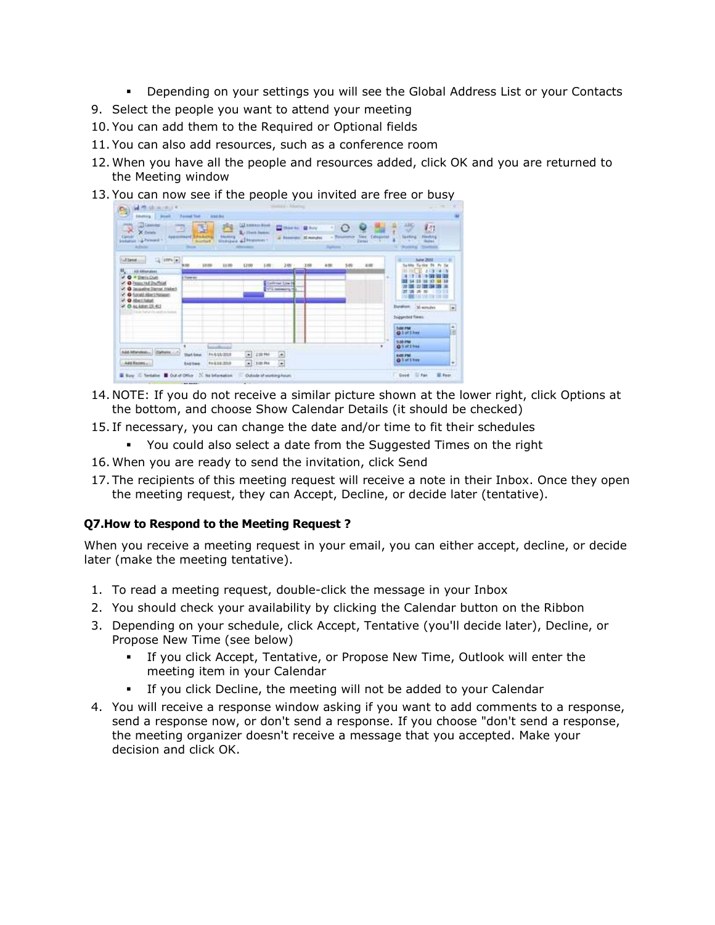- Depending on your settings you will see the Global Address List or your Contacts
- 9. Select the people you want to attend your meeting
- 10. You can add them to the Required or Optional fields
- 11. You can also add resources, such as a conference room
- 12. When you have all the people and resources added, click OK and you are returned to the Meeting window
- 13. You can now see if the people you invited are free or busy



- 14. NOTE: If you do not receive a similar picture shown at the lower right, click Options at the bottom, and choose Show Calendar Details (it should be checked)
- 15. If necessary, you can change the date and/or time to fit their schedules
	- You could also select a date from the Suggested Times on the right
- 16. When you are ready to send the invitation, click Send
- 17. The recipients of this meeting request will receive a note in their Inbox. Once they open the meeting request, they can Accept, Decline, or decide later (tentative).

### **Q7.How to Respond to the Meeting Request ?**

When you receive a meeting request in your email, you can either accept, decline, or decide later (make the meeting tentative).

- 1. To read a meeting request, double-click the message in your Inbox
- 2. You should check your availability by clicking the Calendar button on the Ribbon
- 3. Depending on your schedule, click Accept, Tentative (you'll decide later), Decline, or Propose New Time (see below)
	- If you click Accept, Tentative, or Propose New Time, Outlook will enter the meeting item in your Calendar
	- If you click Decline, the meeting will not be added to your Calendar
- 4. You will receive a response window asking if you want to add comments to a response, send a response now, or don't send a response. If you choose "don't send a response, the meeting organizer doesn't receive a message that you accepted. Make your decision and click OK.